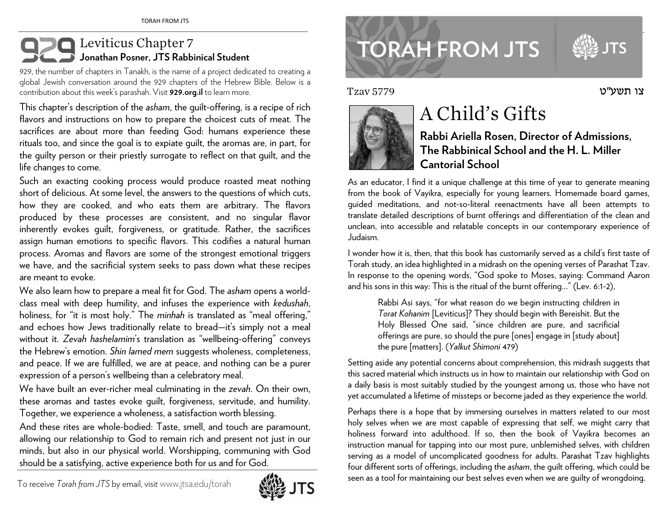## **Leviticus Chapter 7 Jonathan Posner, JTS Rabbinical Student**

929, the number of chapters in Tanakh, is the name of a project dedicated to creating a <sup>g</sup>lobal Jewish conversation around the 929 chapters of the Hebrew Bible. Below is a contribution about this week's parashah. Visit **929.org.il** to learn more.

This chapter's description of the *asham*, the guilt-offering, is a recipe of rich flavors and instructions on how to prepare the choicest cuts of meat. The sacrifices are about more than feeding God: humans experience these rituals too, and since the goal is to expiate guilt, the aromas are, in part, for the guilty person or their priestly surrogate to reflect on that guilt, and the life changes to come.

Such an exacting cooking process would produce roasted meat nothing short of delicious. At some level, the answers to the questions of which cuts, how they are cooked, and who eats them are arbitrary. The flavors produced by these processes are consistent, and no singular flavor inherently evokes guilt, forgiveness, or gratitude. Rather, the sacrifices assign human emotions to specific flavors. This codifies a natural human process. Aromas and flavors are some of the strongest emotional triggers we have, and the sacrificial system seeks to pass down what these recipes are meant to evoke.

We also learn how to prepare a meal fit for God. The *asham* opens a worldclass meal with deep humility, and infuses the experience with *kedushah*, holiness, for "it is most holy." The *minhah* is translated as "meal offering," and echoes how Jews traditionally relate to bread—it's simply not a meal without it. *Zevah hashelamim*'s translation as "wellbeing-offering" conveys the Hebrew's emotion. *Shin lamed mem* suggests wholeness, completeness, and peace. If we are fulfilled, we are at peace, and nothing can be a purer expression of a person's wellbeing than a celebratory meal.

We have built an ever-richer meal culminating in the *zevah*. On their own, these aromas and tastes evoke guilt, forgiveness, servitude, and humility. Together, we experience a wholeness, a satisfaction worth blessing.

And these rites are whole-bodied: Taste, smell, and touch are paramount, allowing our relationship to God to remain rich and present not just in our minds, but also in our physical world. Worshipping, communing with God should be a satisfying, active experience both for us and for God.

To receive *Torah from JTS* by email, visitwww.jtsa.edu/torah



www.jtsa.edu/torah international contract of the contract of the contract of the contract of the contract of the contract of the contract of the contract of the contract of the contract of the contract of the contract of t **TORAH FROM JTS** 

צו תשע"ט

Tzav 5779



## A Child's Gifts

**Rabbi Ariella Rosen, Director of Admissions, The Rabbinical School and the H. L. Miller Cantorial School** 

As an educator, I find it a unique challenge at this time of year to generate meaning from the book of Vayikra, especially for young learners. Homemade board games, guided meditations, and not-so-literal reenactments have all been attempts to translate detailed descriptions of burnt offerings and differentiation of the clean and unclean, into accessible and relatable concepts in our contemporary experience of Judaism.

I wonder how it is, then, that this book has customarily served as a child's first taste of Torah study, an idea highlighted in a midrash on the opening verses of Parashat Tzav. In response to the opening words, "God spoke to Moses, saying: Command Aaron and his sons in this way: This is the ritual of the burnt offering…" (Lev. 6:1-2),

Rabbi Asi says, "for what reason do we begin instructing children in *Torat Kohanim* [Leviticus]? They should begin with Bereishit. But the Holy Blessed One said, "since children are pure, and sacrificial offerings are pure, so should the pure [ones] engage in [study about] the pure [matters]. (*Yalkut Shimoni* 479)

Setting aside any potential concerns about comprehension, this midrash suggests that this sacred material which instructs us in how to maintain our relationship with God on a daily basis is most suitably studied by the youngest among us, those who have not yet accumulated a lifetime of missteps or become jaded as they experience the world.

Perhaps there is a hope that by immersing ourselves in matters related to our most holy selves when we are most capable of expressing that self, we might carry that holiness forward into adulthood. If so, then the book of Vayikra becomes an instruction manual for tapping into our most pure, unblemished selves, with children serving as a model of uncomplicated goodness for adults. Parashat Tzav highlights four different sorts of offerings, including the *asham*, the guilt offering, which could be seen as a tool for maintaining our best selves even when we are guilty of wrongdoing.